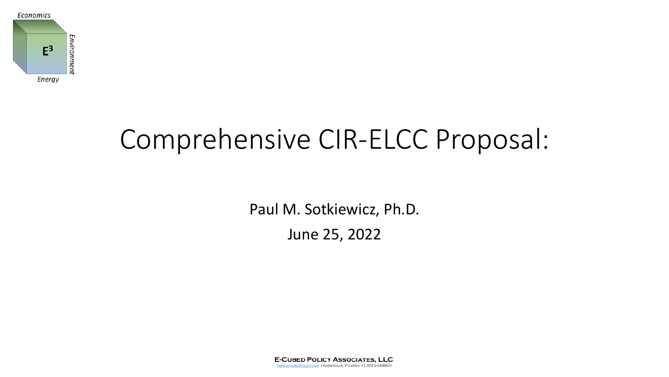

# Comprehensive CIR-ELCC Proposal:

Paul M. Sotkiewicz, Ph.D.

June 25, 2022

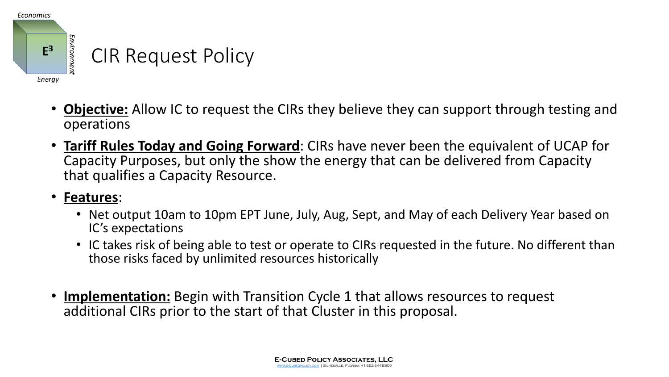

- **Objective:** Allow IC to request the CIRs they believe they can support through testing and operations
- **Tariff Rules Today and Going Forward**: CIRs have never been the equivalent of UCAP for Capacity Purposes, but only the show the energy that can be delivered from Capacity that qualifies a Capacity Resource.

#### • **Features**:

- Net output 10am to 10pm EPT June, July, Aug, Sept, and May of each Delivery Year based on IC's expectations
- IC takes risk of being able to test or operate to CIRs requested in the future. No different than those risks faced by unlimited resources historically
- **Implementation:** Begin with Transition Cycle 1 that allows resources to request additional CIRs prior to the start of that Cluster in this proposal.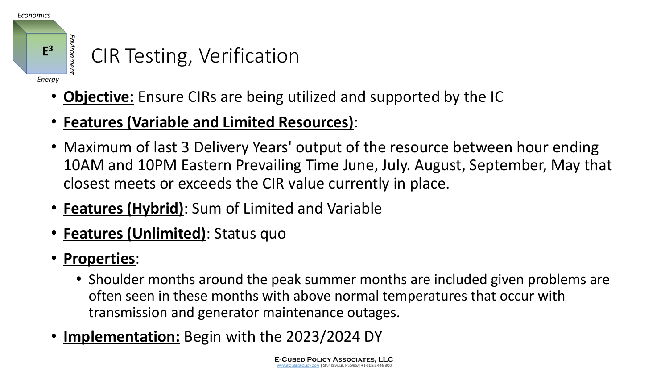

- **Objective:** Ensure CIRs are being utilized and supported by the IC
- **Features (Variable and Limited Resources)**:
- Maximum of last 3 Delivery Years' output of the resource between hour ending 10AM and 10PM Eastern Prevailing Time June, July. August, September, May that closest meets or exceeds the CIR value currently in place.
- **Features (Hybrid)**: Sum of Limited and Variable
- **Features (Unlimited)**: Status quo
- **Properties**:
	- Shoulder months around the peak summer months are included given problems are often seen in these months with above normal temperatures that occur with transmission and generator maintenance outages.
- **Implementation:** Begin with the 2023/2024 DY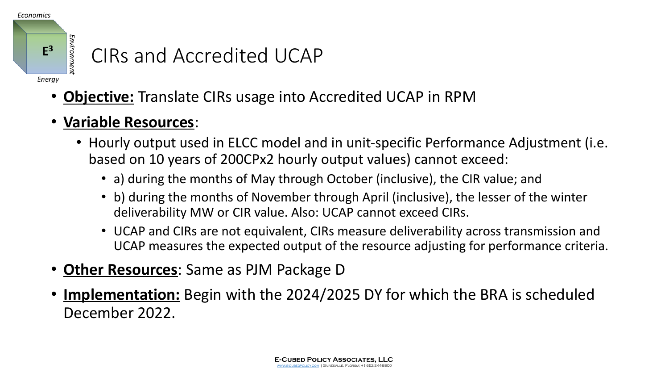

#### CIRs and Accredited UCAP

- **Objective:** Translate CIRs usage into Accredited UCAP in RPM
- **Variable Resources**:
	- Hourly output used in ELCC model and in unit-specific Performance Adjustment (i.e. based on 10 years of 200CPx2 hourly output values) cannot exceed:
		- a) during the months of May through October (inclusive), the CIR value; and
		- b) during the months of November through April (inclusive), the lesser of the winter deliverability MW or CIR value. Also: UCAP cannot exceed CIRs.
		- UCAP and CIRs are not equivalent, CIRs measure deliverability across transmission and UCAP measures the expected output of the resource adjusting for performance criteria.
- **Other Resources**: Same as PJM Package D
- **Implementation:** Begin with the 2024/2025 DY for which the BRA is scheduled December 2022.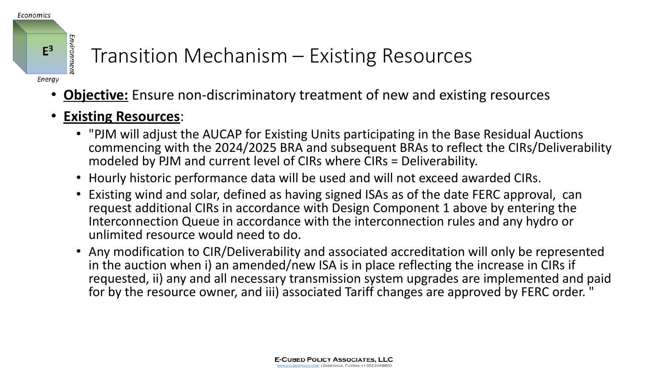

### Transition Mechanism – Existing Resources

- **Objective:** Ensure non-discriminatory treatment of new and existing resources
- **Existing Resources**:
	- "PJM will adjust the AUCAP for Existing Units participating in the Base Residual Auctions commencing with the 2024/2025 BRA and subsequent BRAs to reflect the CIRs/Deliverability modeled by PJM and current level of CIRs where CIRs = Deliverability.
	- Hourly historic performance data will be used and will not exceed awarded CIRs.
	- Existing wind and solar, defined as having signed ISAs as of the date FERC approval, can request additional CIRs in accordance with Design Component 1 above by entering the Interconnection Queue in accordance with the interconnection rules and any hydro or unlimited resource would need to do.
	- Any modification to CIR/Deliverability and associated accreditation will only be represented in the auction when i) an amended/new ISA is in place reflecting the increase in CIRs if requested, ii) any and all necessary transmission system upgrades are implemented and paid for by the resource owner, and iii) associated Tariff changes are approved by FERC order. "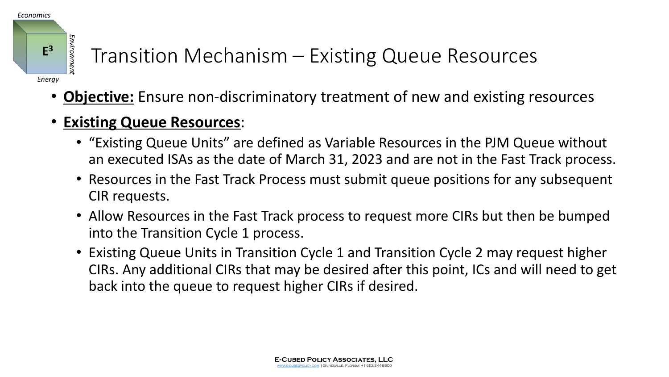

## Transition Mechanism – Existing Queue Resources

- **Objective:** Ensure non-discriminatory treatment of new and existing resources
- **Existing Queue Resources:** 
	- "Existing Queue Units" are defined as Variable Resources in the PJM Queue without an executed ISAs as the date of March 31, 2023 and are not in the Fast Track process.
	- Resources in the Fast Track Process must submit queue positions for any subsequent CIR requests.
	- Allow Resources in the Fast Track process to request more CIRs but then be bumped into the Transition Cycle 1 process.
	- Existing Queue Units in Transition Cycle 1 and Transition Cycle 2 may request higher CIRs. Any additional CIRs that may be desired after this point, ICs and will need to get back into the queue to request higher CIRs if desired.